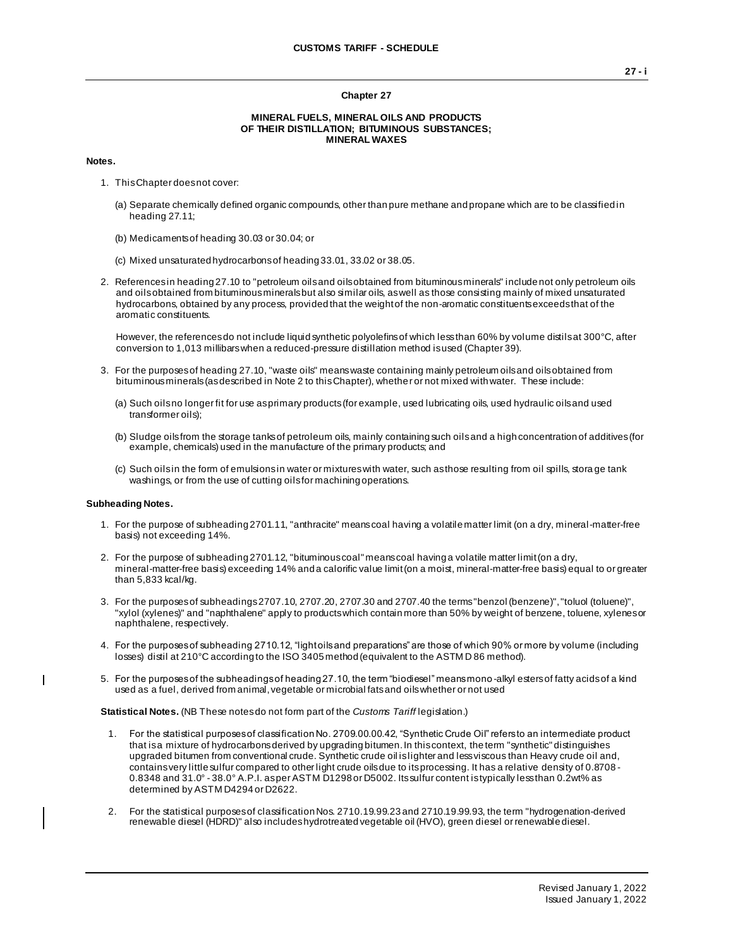#### **Chapter 27**

### **MINERAL FUELS, MINERAL OILS AND PRODUCTS OF THEIR DISTILLATION; BITUMINOUS SUBSTANCES; MINERAL WAXES**

### **Notes.**

- 1. This Chapter does not cover:
	- (a) Separate chemically defined organic compounds, other than pure methane and propane which are to be classified in heading 27.11;
	- (b) Medicaments of heading 30.03 or 30.04; or
	- (c) Mixed unsaturated hydrocarbons of heading 33.01, 33.02 or 38.05.
- 2. References in heading 27.10 to "petroleum oils and oils obtained from bituminous minerals" include not only petroleum oils and oils obtained from bituminous minerals but also similar oils, as well as those consisting mainly of mixed unsaturated hydrocarbons, obtained by any process, provided that the weight of the non-aromatic constituents exceeds that of the aromatic constituents.

However, the references do not include liquid synthetic polyolefins of which less than 60% by volume distils at 300°C, after conversion to 1,013 millibars when a reduced-pressure distillation method is used (Chapter 39).

- 3. For the purposes of heading 27.10, "waste oils" means waste containing mainly petroleum oils and oils obtained from bituminous minerals (as described in Note 2 to this Chapter), whether or not mixed with water. These include:
	- (a) Such oils no longer fit for use as primary products (for example, used lubricating oils, used hydraulic oils and used transformer oils);
	- (b) Sludge oils from the storage tanks of petroleum oils, mainly containing such oils and a high concentration of additives (for example, chemicals) used in the manufacture of the primary products; and
	- (c) Such oils in the form of emulsions in water or mixtures with water, such as those resulting from oil spills, stora ge tank washings, or from the use of cutting oils for machining operations.

#### **Subheading Notes.**

 $\blacksquare$ 

- 1. For the purpose of subheading 2701.11, "anthracite" means coal having a volatile matter limit (on a dry, mineral-matter-free basis) not exceeding 14%.
- 2. For the purpose of subheading 2701.12, "bituminous coal" means coal having a volatile matter limit (on a dry, mineral-matter-free basis) exceeding 14% and a calorific value limit (on a moist, mineral-matter-free basis) equal to or greater than 5,833 kcal/kg.
- 3. For the purposes of subheadings 2707.10, 2707.20, 2707.30 and 2707.40 the terms "benzol (benzene)", "toluol (toluene)", "xylol (xylenes)" and "naphthalene" apply to products which contain more than 50% by weight of benzene, toluene, xylenes or naphthalene, respectively.
- 4. For the purposes of subheading 2710.12, "light oils and preparations" are those of which 90% or more by volume (including losses) distil at 210°C according to the ISO 3405 method (equivalent to the ASTM D 86 method).
- 5. For the purposes of the subheadings of heading 27.10, the term "biodiesel" means mono -alkyl esters of fatty acids of a kind used as a fuel, derived from animal, vegetable or microbial fats and oils whether or not used

**Statistical Notes.** (NB These notes do not form part of the *Customs Tariff* legislation.)

- 1. For the statistical purposes of classification No. 2709.00.00.42, "Synthetic Crude Oil" refers to an intermediate product that is a mixture of hydrocarbons derived by upgrading bitumen. In this context, the term "synthetic" distinguishes upgraded bitumen from conventional crude. Synthetic crude oil is lighter and less viscous than Heavy crude oil and, contains very little sulfur compared to other light crude oils due to its processing. It has a relative density of 0.8708 - 0.8348 and 31.0° - 38.0° A.P.I. as per ASTM D1298 or D5002. Its sulfur content is typically less than 0.2wt% as determined by ASTM D4294 or D2622.
- 2. For the statistical purposes of classification Nos. 2710.19.99.23 and 2710.19.99.93, the term "hydrogenation-derived renewable diesel (HDRD)" also includes hydrotreated vegetable oil (HVO), green diesel or renewable diesel.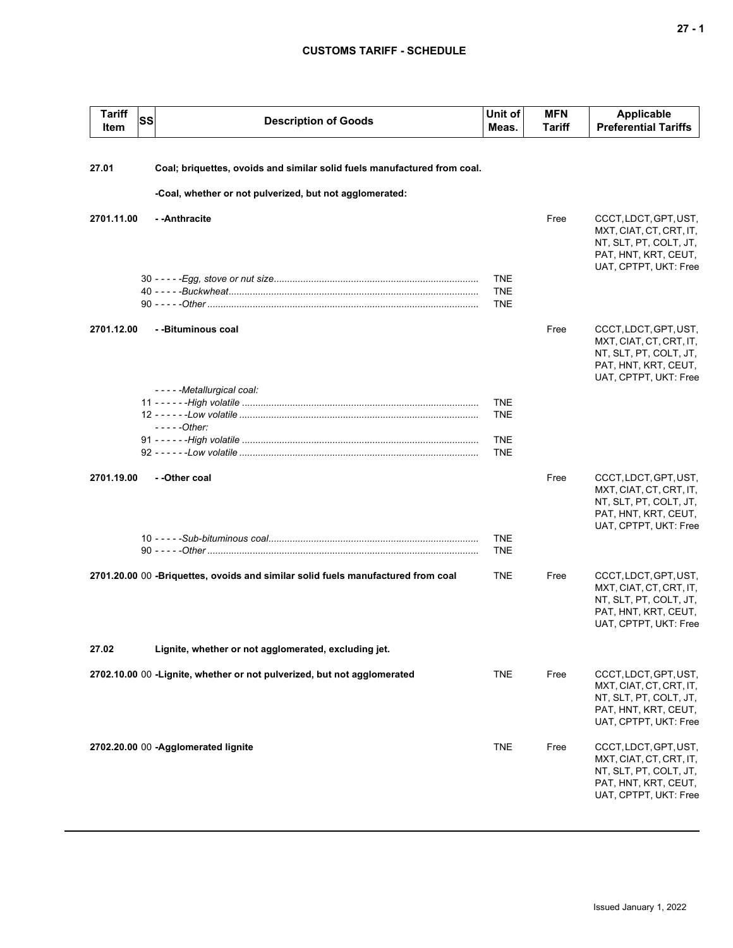# **CUSTOMS TARIFF - SCHEDULE**

| <b>Tariff</b><br>Item | <b>SS</b> | <b>Description of Goods</b>                                                      | Unit of<br>Meas.                       | <b>MFN</b><br>Tariff | <b>Applicable</b><br><b>Preferential Tariffs</b>                                                                            |
|-----------------------|-----------|----------------------------------------------------------------------------------|----------------------------------------|----------------------|-----------------------------------------------------------------------------------------------------------------------------|
| 27.01                 |           | Coal; briquettes, ovoids and similar solid fuels manufactured from coal.         |                                        |                      |                                                                                                                             |
|                       |           | -Coal, whether or not pulverized, but not agglomerated:                          |                                        |                      |                                                                                                                             |
| 2701.11.00            |           | - - Anthracite                                                                   |                                        | Free                 | CCCT, LDCT, GPT, UST,<br>MXT, CIAT, CT, CRT, IT,<br>NT, SLT, PT, COLT, JT,<br>PAT, HNT, KRT, CEUT,<br>UAT, CPTPT, UKT: Free |
|                       |           |                                                                                  | <b>TNE</b><br><b>TNE</b><br><b>TNE</b> |                      |                                                                                                                             |
| 2701.12.00            |           | - -Bituminous coal                                                               |                                        | Free                 | CCCT, LDCT, GPT, UST,<br>MXT, CIAT, CT, CRT, IT,<br>NT, SLT, PT, COLT, JT,<br>PAT, HNT, KRT, CEUT,<br>UAT, CPTPT, UKT: Free |
|                       |           | - - - - - Metallurgical coal:                                                    | <b>TNE</b><br><b>TNE</b>               |                      |                                                                                                                             |
|                       |           | $---Other:$                                                                      | <b>TNE</b><br><b>TNE</b>               |                      |                                                                                                                             |
| 2701.19.00            |           | - -Other coal                                                                    |                                        | Free                 | CCCT, LDCT, GPT, UST,<br>MXT, CIAT, CT, CRT, IT,<br>NT, SLT, PT, COLT, JT,<br>PAT, HNT, KRT, CEUT,                          |
|                       |           |                                                                                  | <b>TNE</b><br><b>TNE</b>               |                      | UAT, CPTPT, UKT: Free                                                                                                       |
|                       |           | 2701.20.00 00 -Briquettes, ovoids and similar solid fuels manufactured from coal | <b>TNE</b>                             | Free                 | CCCT, LDCT, GPT, UST,<br>MXT, CIAT, CT, CRT, IT,<br>NT, SLT, PT, COLT, JT,<br>PAT, HNT, KRT, CEUT,<br>UAT, CPTPT, UKT: Free |
| 27.02                 |           | Lignite, whether or not agglomerated, excluding jet.                             |                                        |                      |                                                                                                                             |
|                       |           | 2702.10.00 00 - Lignite, whether or not pulverized, but not agglomerated         | <b>TNE</b>                             | Free                 | CCCT, LDCT, GPT, UST,<br>MXT, CIAT, CT, CRT, IT,<br>NT, SLT, PT, COLT, JT,<br>PAT, HNT, KRT, CEUT,<br>UAT, CPTPT, UKT: Free |
|                       |           | 2702.20.00 00 -Agglomerated lignite                                              | <b>TNE</b>                             | Free                 | CCCT, LDCT, GPT, UST,<br>MXT, CIAT, CT, CRT, IT,<br>NT, SLT, PT, COLT, JT,<br>PAT, HNT, KRT, CEUT,<br>UAT, CPTPT, UKT: Free |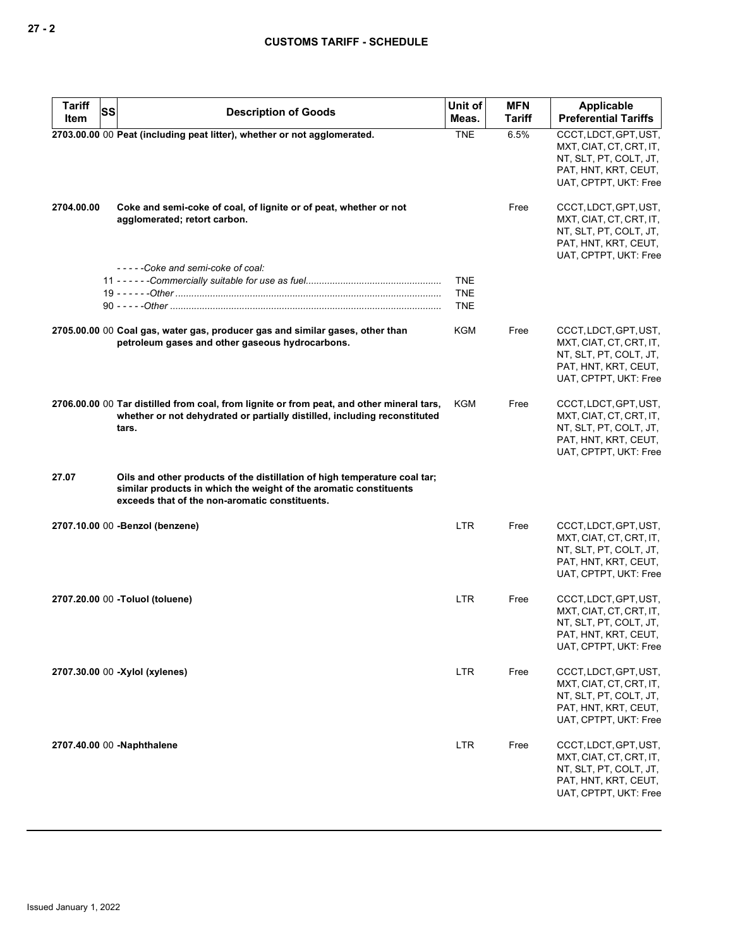| <b>Tariff</b><br>SS<br>Item | <b>Description of Goods</b>                                                                                                                                                                      | Unit of<br>Meas.                       | <b>MFN</b><br><b>Tariff</b> | Applicable<br><b>Preferential Tariffs</b>                                                                                   |
|-----------------------------|--------------------------------------------------------------------------------------------------------------------------------------------------------------------------------------------------|----------------------------------------|-----------------------------|-----------------------------------------------------------------------------------------------------------------------------|
|                             | 2703.00.00 00 Peat (including peat litter), whether or not agglomerated.                                                                                                                         | <b>TNE</b>                             | 6.5%                        | CCCT, LDCT, GPT, UST,<br>MXT, CIAT, CT, CRT, IT,<br>NT, SLT, PT, COLT, JT,<br>PAT, HNT, KRT, CEUT,<br>UAT, CPTPT, UKT: Free |
| 2704.00.00                  | Coke and semi-coke of coal, of lignite or of peat, whether or not<br>agglomerated; retort carbon.                                                                                                |                                        | Free                        | CCCT, LDCT, GPT, UST,<br>MXT, CIAT, CT, CRT, IT,<br>NT, SLT, PT, COLT, JT,<br>PAT, HNT, KRT, CEUT,<br>UAT, CPTPT, UKT: Free |
|                             | -----Coke and semi-coke of coal:                                                                                                                                                                 | <b>TNE</b><br><b>TNE</b><br><b>TNE</b> |                             |                                                                                                                             |
|                             | 2705.00.00 00 Coal gas, water gas, producer gas and similar gases, other than<br>petroleum gases and other gaseous hydrocarbons.                                                                 | KGM                                    | Free                        | CCCT, LDCT, GPT, UST,<br>MXT, CIAT, CT, CRT, IT,<br>NT, SLT, PT, COLT, JT,<br>PAT, HNT, KRT, CEUT,<br>UAT, CPTPT, UKT: Free |
|                             | 2706.00.00 00 Tar distilled from coal, from lignite or from peat, and other mineral tars,<br>whether or not dehydrated or partially distilled, including reconstituted<br>tars.                  | KGM                                    | Free                        | CCCT, LDCT, GPT, UST,<br>MXT, CIAT, CT, CRT, IT,<br>NT, SLT, PT, COLT, JT,<br>PAT, HNT, KRT, CEUT,<br>UAT, CPTPT, UKT: Free |
| 27.07                       | Oils and other products of the distillation of high temperature coal tar;<br>similar products in which the weight of the aromatic constituents<br>exceeds that of the non-aromatic constituents. |                                        |                             |                                                                                                                             |
|                             | 2707.10.00 00 - Benzol (benzene)                                                                                                                                                                 | <b>LTR</b>                             | Free                        | CCCT, LDCT, GPT, UST,<br>MXT, CIAT, CT, CRT, IT,<br>NT, SLT, PT, COLT, JT,<br>PAT, HNT, KRT, CEUT,<br>UAT, CPTPT, UKT: Free |
|                             | 2707.20.00 00 -Toluol (toluene)                                                                                                                                                                  | <b>LTR</b>                             | Free                        | CCCT, LDCT, GPT, UST,<br>MXT, CIAT, CT, CRT, IT,<br>NT, SLT, PT, COLT, JT,<br>PAT, HNT, KRT, CEUT,<br>UAT, CPTPT, UKT: Free |
|                             | 2707.30.00 00 -Xylol (xylenes)                                                                                                                                                                   | <b>LTR</b>                             | Free                        | CCCT, LDCT, GPT, UST,<br>MXT, CIAT, CT, CRT, IT,<br>NT, SLT, PT, COLT, JT,<br>PAT, HNT, KRT, CEUT,<br>UAT, CPTPT, UKT: Free |
|                             | 2707.40.00 00 -Naphthalene                                                                                                                                                                       | <b>LTR</b>                             | Free                        | CCCT, LDCT, GPT, UST,<br>MXT, CIAT, CT, CRT, IT,<br>NT, SLT, PT, COLT, JT,<br>PAT, HNT, KRT, CEUT,<br>UAT, CPTPT, UKT: Free |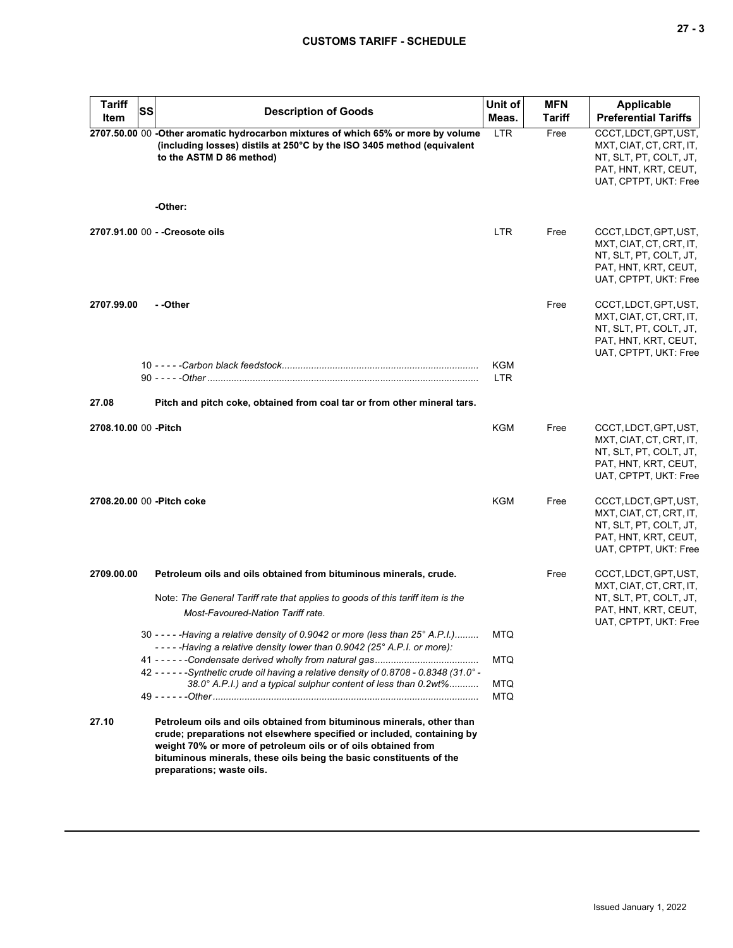|  |  | ۰.<br>v |
|--|--|---------|
|--|--|---------|

| <b>Tariff</b>         | SS | <b>Description of Goods</b>                                                                                                                                                                                                                                                                                          | Unit of           | <b>MFN</b> | <b>Applicable</b>                                                                                                           |
|-----------------------|----|----------------------------------------------------------------------------------------------------------------------------------------------------------------------------------------------------------------------------------------------------------------------------------------------------------------------|-------------------|------------|-----------------------------------------------------------------------------------------------------------------------------|
| Item                  |    |                                                                                                                                                                                                                                                                                                                      | Meas.             | Tariff     | <b>Preferential Tariffs</b>                                                                                                 |
|                       |    | 2707.50.00 00 -Other aromatic hydrocarbon mixtures of which 65% or more by volume<br>(including losses) distils at 250°C by the ISO 3405 method (equivalent<br>to the ASTM D 86 method)                                                                                                                              | <b>LTR</b>        | Free       | CCCT, LDCT, GPT, UST,<br>MXT, CIAT, CT, CRT, IT,<br>NT, SLT, PT, COLT, JT,<br>PAT, HNT, KRT, CEUT,<br>UAT, CPTPT, UKT: Free |
|                       |    | -Other:                                                                                                                                                                                                                                                                                                              |                   |            |                                                                                                                             |
|                       |    | 2707.91.00 00 - - Creosote oils                                                                                                                                                                                                                                                                                      | <b>LTR</b>        | Free       | CCCT, LDCT, GPT, UST,<br>MXT, CIAT, CT, CRT, IT,<br>NT, SLT, PT, COLT, JT,<br>PAT, HNT, KRT, CEUT,<br>UAT, CPTPT, UKT: Free |
| 2707.99.00            |    | - -Other                                                                                                                                                                                                                                                                                                             | <b>KGM</b>        | Free       | CCCT, LDCT, GPT, UST,<br>MXT, CIAT, CT, CRT, IT,<br>NT, SLT, PT, COLT, JT,<br>PAT, HNT, KRT, CEUT,<br>UAT, CPTPT, UKT: Free |
|                       |    |                                                                                                                                                                                                                                                                                                                      | <b>LTR</b>        |            |                                                                                                                             |
| 27.08                 |    | Pitch and pitch coke, obtained from coal tar or from other mineral tars.                                                                                                                                                                                                                                             |                   |            |                                                                                                                             |
| 2708.10.00 00 - Pitch |    |                                                                                                                                                                                                                                                                                                                      | <b>KGM</b>        | Free       | CCCT, LDCT, GPT, UST,<br>MXT, CIAT, CT, CRT, IT,<br>NT, SLT, PT, COLT, JT,<br>PAT, HNT, KRT, CEUT,<br>UAT, CPTPT, UKT: Free |
|                       |    | 2708.20.00 00 - Pitch coke                                                                                                                                                                                                                                                                                           | <b>KGM</b>        | Free       | CCCT, LDCT, GPT, UST,<br>MXT, CIAT, CT, CRT, IT,<br>NT, SLT, PT, COLT, JT,<br>PAT, HNT, KRT, CEUT,<br>UAT, CPTPT, UKT: Free |
| 2709.00.00            |    | Petroleum oils and oils obtained from bituminous minerals, crude.                                                                                                                                                                                                                                                    |                   | Free       | CCCT, LDCT, GPT, UST,<br>MXT, CIAT, CT, CRT, IT,                                                                            |
|                       |    | Note: The General Tariff rate that applies to goods of this tariff item is the<br>Most-Favoured-Nation Tariff rate.                                                                                                                                                                                                  |                   |            | NT, SLT, PT, COLT, JT,<br>PAT, HNT, KRT, CEUT,<br>UAT, CPTPT, UKT: Free                                                     |
|                       |    | 30 - - - - - Having a relative density of 0.9042 or more (less than 25° A.P.I.)<br>-----Having a relative density lower than 0.9042 (25° A.P.I. or more):                                                                                                                                                            | <b>MTQ</b>        |            |                                                                                                                             |
|                       |    | 42 - - - - - - Synthetic crude oil having a relative density of 0.8708 - 0.8348 (31.0° -                                                                                                                                                                                                                             | <b>MTQ</b>        |            |                                                                                                                             |
|                       |    | 38.0° A.P.I.) and a typical sulphur content of less than 0.2wt%                                                                                                                                                                                                                                                      | <b>MTQ</b><br>MTQ |            |                                                                                                                             |
| 27.10                 |    | Petroleum oils and oils obtained from bituminous minerals, other than<br>crude; preparations not elsewhere specified or included, containing by<br>weight 70% or more of petroleum oils or of oils obtained from<br>bituminous minerals, these oils being the basic constituents of the<br>preparations; waste oils. |                   |            |                                                                                                                             |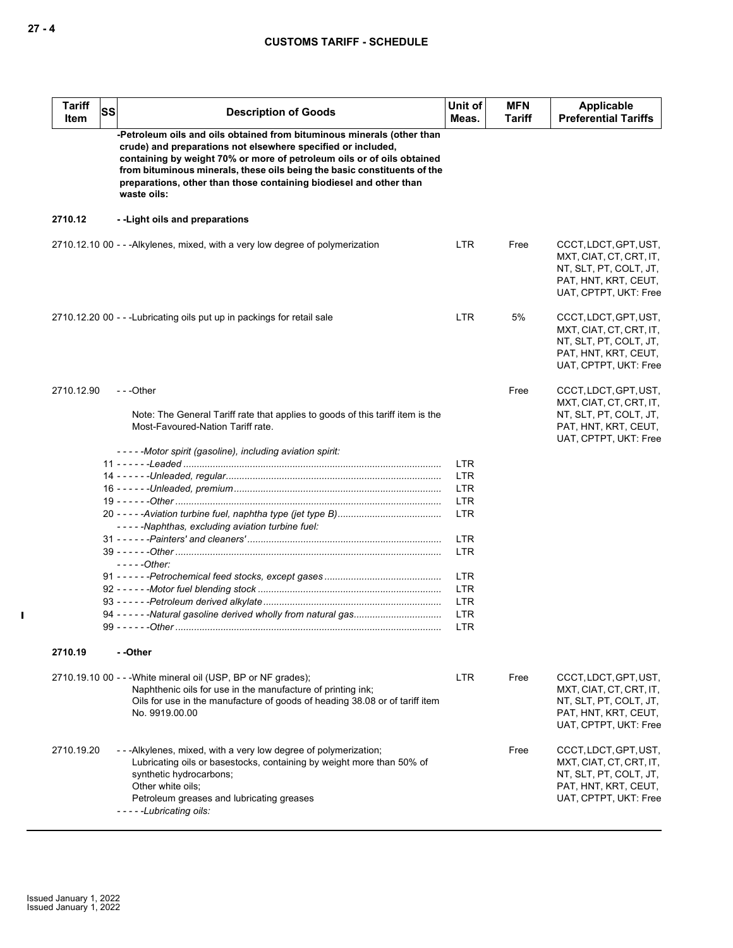| <b>Tariff</b><br><b>SS</b><br>Item | <b>Description of Goods</b>                                                                                                                                                                                                                                                                                                                                                       | Unit of<br>Meas.         | <b>MFN</b><br>Tariff | Applicable<br><b>Preferential Tariffs</b>                                                                                   |
|------------------------------------|-----------------------------------------------------------------------------------------------------------------------------------------------------------------------------------------------------------------------------------------------------------------------------------------------------------------------------------------------------------------------------------|--------------------------|----------------------|-----------------------------------------------------------------------------------------------------------------------------|
|                                    | -Petroleum oils and oils obtained from bituminous minerals (other than<br>crude) and preparations not elsewhere specified or included,<br>containing by weight 70% or more of petroleum oils or of oils obtained<br>from bituminous minerals, these oils being the basic constituents of the<br>preparations, other than those containing biodiesel and other than<br>waste oils: |                          |                      |                                                                                                                             |
| 2710.12                            | --Light oils and preparations                                                                                                                                                                                                                                                                                                                                                     |                          |                      |                                                                                                                             |
|                                    | 2710.12.10 00 - - - Alkylenes, mixed, with a very low degree of polymerization                                                                                                                                                                                                                                                                                                    | LTR                      | Free                 | CCCT, LDCT, GPT, UST,<br>MXT, CIAT, CT, CRT, IT,<br>NT, SLT, PT, COLT, JT,<br>PAT, HNT, KRT, CEUT,<br>UAT, CPTPT, UKT: Free |
|                                    | 2710.12.20 00 - - - Lubricating oils put up in packings for retail sale                                                                                                                                                                                                                                                                                                           | <b>LTR</b>               | 5%                   | CCCT, LDCT, GPT, UST,<br>MXT, CIAT, CT, CRT, IT,<br>NT, SLT, PT, COLT, JT,<br>PAT, HNT, KRT, CEUT,<br>UAT, CPTPT, UKT: Free |
| 2710.12.90                         | $- -$ Other                                                                                                                                                                                                                                                                                                                                                                       |                          | Free                 | CCCT, LDCT, GPT, UST,                                                                                                       |
|                                    | Note: The General Tariff rate that applies to goods of this tariff item is the<br>Most-Favoured-Nation Tariff rate.                                                                                                                                                                                                                                                               |                          |                      | MXT, CIAT, CT, CRT, IT,<br>NT, SLT, PT, COLT, JT,<br>PAT, HNT, KRT, CEUT,<br>UAT, CPTPT, UKT: Free                          |
|                                    | -----Motor spirit (gasoline), including aviation spirit:                                                                                                                                                                                                                                                                                                                          |                          |                      |                                                                                                                             |
|                                    |                                                                                                                                                                                                                                                                                                                                                                                   | <b>LTR</b><br><b>LTR</b> |                      |                                                                                                                             |
|                                    |                                                                                                                                                                                                                                                                                                                                                                                   | <b>LTR</b>               |                      |                                                                                                                             |
|                                    |                                                                                                                                                                                                                                                                                                                                                                                   | <b>LTR</b>               |                      |                                                                                                                             |
|                                    | -----Naphthas, excluding aviation turbine fuel:                                                                                                                                                                                                                                                                                                                                   | <b>LTR</b>               |                      |                                                                                                                             |
|                                    |                                                                                                                                                                                                                                                                                                                                                                                   | <b>LTR</b>               |                      |                                                                                                                             |
|                                    |                                                                                                                                                                                                                                                                                                                                                                                   | <b>LTR</b>               |                      |                                                                                                                             |
|                                    | $---Other:$                                                                                                                                                                                                                                                                                                                                                                       |                          |                      |                                                                                                                             |
|                                    |                                                                                                                                                                                                                                                                                                                                                                                   | <b>LTR</b>               |                      |                                                                                                                             |
|                                    |                                                                                                                                                                                                                                                                                                                                                                                   | <b>LTR</b><br><b>LTR</b> |                      |                                                                                                                             |
|                                    |                                                                                                                                                                                                                                                                                                                                                                                   | <b>LTR</b>               |                      |                                                                                                                             |
|                                    |                                                                                                                                                                                                                                                                                                                                                                                   | LTR                      |                      |                                                                                                                             |
| 2710.19                            | - -Other                                                                                                                                                                                                                                                                                                                                                                          |                          |                      |                                                                                                                             |
|                                    | 2710.19.10 00 - - - White mineral oil (USP, BP or NF grades);<br>Naphthenic oils for use in the manufacture of printing ink;                                                                                                                                                                                                                                                      | <b>LTR</b>               | Free                 | CCCT, LDCT, GPT, UST,<br>MXT, CIAT, CT, CRT, IT,                                                                            |
|                                    | Oils for use in the manufacture of goods of heading 38.08 or of tariff item<br>No. 9919.00.00                                                                                                                                                                                                                                                                                     |                          |                      | NT, SLT, PT, COLT, JT,<br>PAT, HNT, KRT, CEUT,<br>UAT, CPTPT, UKT: Free                                                     |
| 2710.19.20                         | ---Alkylenes, mixed, with a very low degree of polymerization;<br>Lubricating oils or basestocks, containing by weight more than 50% of<br>synthetic hydrocarbons;<br>Other white oils;<br>Petroleum greases and lubricating greases<br>-----Lubricating oils:                                                                                                                    |                          | Free                 | CCCT, LDCT, GPT, UST,<br>MXT, CIAT, CT, CRT, IT,<br>NT, SLT, PT, COLT, JT,<br>PAT, HNT, KRT, CEUT,<br>UAT, CPTPT, UKT: Free |

 $\mathbf{I}$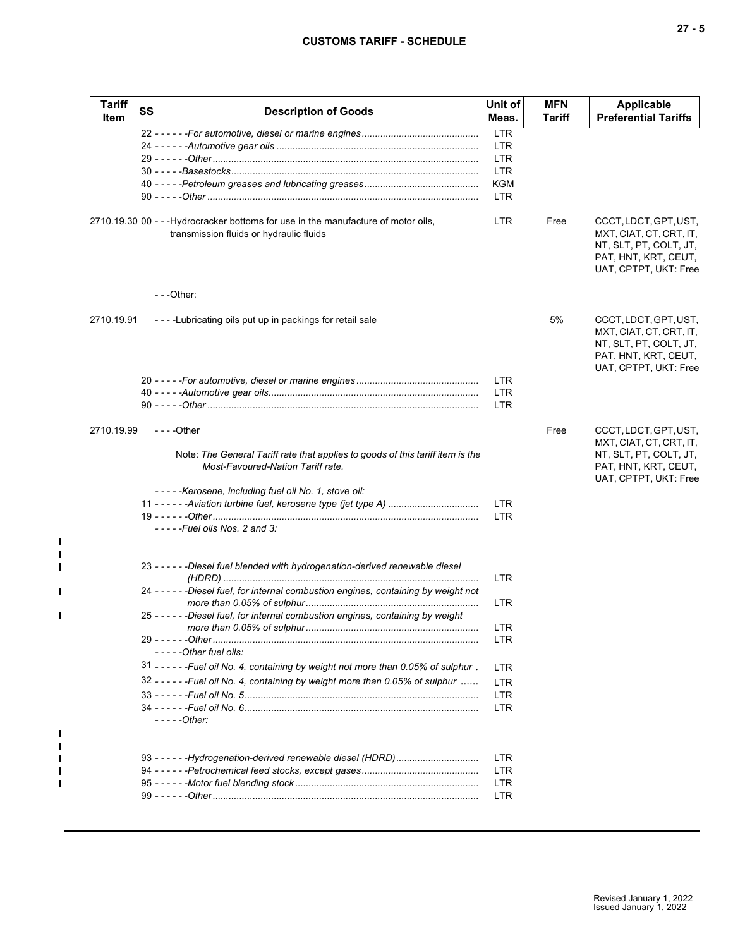# **CUSTOMS TARIFF - SCHEDULE**

| ×<br>۰. |
|---------|
|         |

| <b>Tariff</b><br>Item | <b>SS</b> | <b>Description of Goods</b>                                                                                                   | Unit of<br>Meas.         | <b>MFN</b><br>Tariff | Applicable<br><b>Preferential Tariffs</b>                                                                                   |
|-----------------------|-----------|-------------------------------------------------------------------------------------------------------------------------------|--------------------------|----------------------|-----------------------------------------------------------------------------------------------------------------------------|
|                       |           |                                                                                                                               | LTR                      |                      |                                                                                                                             |
|                       |           |                                                                                                                               | <b>LTR</b>               |                      |                                                                                                                             |
|                       |           |                                                                                                                               | <b>LTR</b>               |                      |                                                                                                                             |
|                       |           |                                                                                                                               | <b>LTR</b>               |                      |                                                                                                                             |
|                       |           |                                                                                                                               | <b>KGM</b>               |                      |                                                                                                                             |
|                       |           |                                                                                                                               | <b>LTR</b>               |                      |                                                                                                                             |
|                       |           | 2710.19.30 00 - - - Hydrocracker bottoms for use in the manufacture of motor oils,<br>transmission fluids or hydraulic fluids | <b>LTR</b>               | Free                 | CCCT, LDCT, GPT, UST,<br>MXT, CIAT, CT, CRT, IT,<br>NT, SLT, PT, COLT, JT,<br>PAT, HNT, KRT, CEUT,<br>UAT, CPTPT, UKT: Free |
|                       |           | $- -$ Other:                                                                                                                  |                          |                      |                                                                                                                             |
| 2710.19.91            |           | ----Lubricating oils put up in packings for retail sale                                                                       |                          | 5%                   | CCCT, LDCT, GPT, UST,<br>MXT, CIAT, CT, CRT, IT,<br>NT, SLT, PT, COLT, JT,<br>PAT, HNT, KRT, CEUT,<br>UAT, CPTPT, UKT: Free |
|                       |           |                                                                                                                               | <b>LTR</b>               |                      |                                                                                                                             |
|                       |           |                                                                                                                               | <b>LTR</b>               |                      |                                                                                                                             |
|                       |           |                                                                                                                               | <b>LTR</b>               |                      |                                                                                                                             |
| 2710.19.99            |           | $--$ Other                                                                                                                    |                          | Free                 | CCCT, LDCT, GPT, UST,<br>MXT, CIAT, CT, CRT, IT,                                                                            |
|                       |           | Note: The General Tariff rate that applies to goods of this tariff item is the<br>Most-Favoured-Nation Tariff rate.           |                          |                      | NT, SLT, PT, COLT, JT,<br>PAT, HNT, KRT, CEUT,<br>UAT, CPTPT, UKT: Free                                                     |
|                       |           | -----Kerosene, including fuel oil No. 1, stove oil:                                                                           |                          |                      |                                                                                                                             |
|                       |           | 11 - - - - - - Aviation turbine fuel, kerosene type (jet type A)                                                              | <b>LTR</b><br><b>LTR</b> |                      |                                                                                                                             |
|                       |           | $---$ Fuel oils Nos. 2 and 3:                                                                                                 |                          |                      |                                                                                                                             |
|                       |           | 23 - - - - - - Diesel fuel blended with hydrogenation-derived renewable diesel                                                | <b>LTR</b>               |                      |                                                                                                                             |
|                       |           | 24 - - - - - - Diesel fuel, for internal combustion engines, containing by weight not                                         | <b>LTR</b>               |                      |                                                                                                                             |
|                       |           | 25 - - - - - - Diesel fuel, for internal combustion engines, containing by weight                                             |                          |                      |                                                                                                                             |
|                       |           |                                                                                                                               | LTR                      |                      |                                                                                                                             |
|                       |           |                                                                                                                               | <b>LTR</b>               |                      |                                                                                                                             |
|                       |           | -----Other fuel oils:                                                                                                         |                          |                      |                                                                                                                             |
|                       |           | 31 - - - - - - Fuel oil No. 4, containing by weight not more than 0.05% of sulphur.                                           | <b>LTR</b>               |                      |                                                                                                                             |
|                       |           | 32 - - - - - - Fuel oil No. 4, containing by weight more than 0.05% of sulphur                                                | <b>LTR</b>               |                      |                                                                                                                             |
|                       |           |                                                                                                                               | <b>LTR</b>               |                      |                                                                                                                             |
|                       |           |                                                                                                                               | <b>LTR</b>               |                      |                                                                                                                             |
|                       |           | $---Other$                                                                                                                    |                          |                      |                                                                                                                             |
|                       |           |                                                                                                                               | <b>LTR</b>               |                      |                                                                                                                             |
|                       |           |                                                                                                                               | LTR.                     |                      |                                                                                                                             |
|                       |           |                                                                                                                               | <b>LTR</b>               |                      |                                                                                                                             |
|                       |           |                                                                                                                               | <b>LTR</b>               |                      |                                                                                                                             |
|                       |           |                                                                                                                               |                          |                      |                                                                                                                             |

 $\mathbf{I}$  $\mathbf{I}$  $\blacksquare$  $\blacksquare$ 

 $\mathbf{I}$ 

 $\blacksquare$  $\mathbf{I}$  $\blacksquare$  $\blacksquare$  $\blacksquare$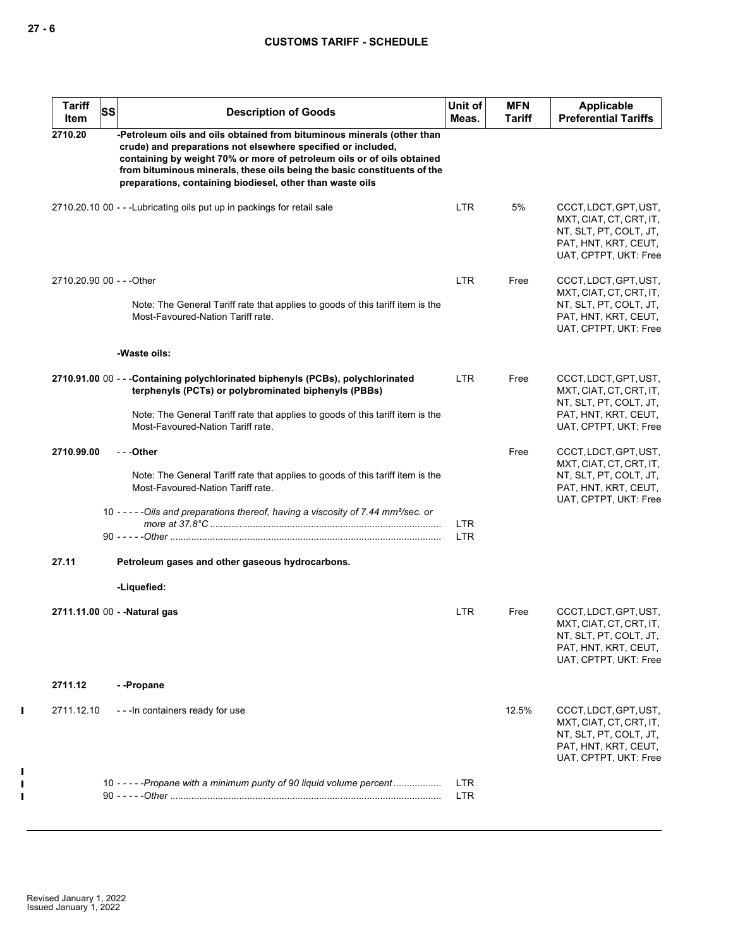| <b>Tariff</b><br>Item     | <b>SS</b> | <b>Description of Goods</b>                                                                                                                                                                                                                                                                                                                               | Unit of<br>Meas.         | <b>MFN</b><br>Tariff | Applicable<br><b>Preferential Tariffs</b>                                                                                   |
|---------------------------|-----------|-----------------------------------------------------------------------------------------------------------------------------------------------------------------------------------------------------------------------------------------------------------------------------------------------------------------------------------------------------------|--------------------------|----------------------|-----------------------------------------------------------------------------------------------------------------------------|
| 2710.20                   |           | -Petroleum oils and oils obtained from bituminous minerals (other than<br>crude) and preparations not elsewhere specified or included,<br>containing by weight 70% or more of petroleum oils or of oils obtained<br>from bituminous minerals, these oils being the basic constituents of the<br>preparations, containing biodiesel, other than waste oils |                          |                      |                                                                                                                             |
|                           |           | 2710.20.10 00 - - - Lubricating oils put up in packings for retail sale                                                                                                                                                                                                                                                                                   | <b>LTR</b>               | 5%                   | CCCT, LDCT, GPT, UST,<br>MXT, CIAT, CT, CRT, IT,<br>NT, SLT, PT, COLT, JT,<br>PAT, HNT, KRT, CEUT,<br>UAT, CPTPT, UKT: Free |
| 2710.20.90 00 - - - Other |           |                                                                                                                                                                                                                                                                                                                                                           | LTR                      | Free                 | CCCT, LDCT, GPT, UST,<br>MXT, CIAT, CT, CRT, IT,                                                                            |
|                           |           | Note: The General Tariff rate that applies to goods of this tariff item is the<br>Most-Favoured-Nation Tariff rate.                                                                                                                                                                                                                                       |                          |                      | NT, SLT, PT, COLT, JT,<br>PAT, HNT, KRT, CEUT,<br>UAT, CPTPT, UKT: Free                                                     |
|                           |           | -Waste oils:                                                                                                                                                                                                                                                                                                                                              |                          |                      |                                                                                                                             |
|                           |           | 2710.91.00 00 - - - Containing polychlorinated biphenyls (PCBs), polychlorinated<br>terphenyls (PCTs) or polybrominated biphenyls (PBBs)                                                                                                                                                                                                                  | LTR                      | Free                 | CCCT, LDCT, GPT, UST,<br>MXT, CIAT, CT, CRT, IT,<br>NT, SLT, PT, COLT, JT,                                                  |
|                           |           | Note: The General Tariff rate that applies to goods of this tariff item is the<br>Most-Favoured-Nation Tariff rate.                                                                                                                                                                                                                                       |                          |                      | PAT, HNT, KRT, CEUT,<br>UAT, CPTPT, UKT: Free                                                                               |
| 2710.99.00                |           | - - -Other                                                                                                                                                                                                                                                                                                                                                |                          | Free                 | CCCT, LDCT, GPT, UST,<br>MXT, CIAT, CT, CRT, IT,                                                                            |
|                           |           | Note: The General Tariff rate that applies to goods of this tariff item is the<br>Most-Favoured-Nation Tariff rate.                                                                                                                                                                                                                                       |                          |                      | NT, SLT, PT, COLT, JT,<br>PAT, HNT, KRT, CEUT,<br>UAT, CPTPT, UKT: Free                                                     |
|                           |           | 10 - - - - - Oils and preparations thereof, having a viscosity of 7.44 mm <sup>2</sup> /sec. or                                                                                                                                                                                                                                                           | <b>LTR</b><br><b>LTR</b> |                      |                                                                                                                             |
| 27.11                     |           | Petroleum gases and other gaseous hydrocarbons.                                                                                                                                                                                                                                                                                                           |                          |                      |                                                                                                                             |
|                           |           | -Liquefied:                                                                                                                                                                                                                                                                                                                                               |                          |                      |                                                                                                                             |
|                           |           | 2711.11.00 00 - - Natural gas                                                                                                                                                                                                                                                                                                                             | <b>LTR</b>               | Free                 | CCCT, LDCT, GPT, UST,<br>MXT, CIAT, CT, CRT, IT,<br>NT, SLT, PT, COLT, JT,<br>PAT, HNT, KRT, CEUT,<br>UAT, CPTPT, UKT: Free |
| 2711.12                   |           | --Propane                                                                                                                                                                                                                                                                                                                                                 |                          |                      |                                                                                                                             |
| 2711.12.10                |           | - - - In containers ready for use                                                                                                                                                                                                                                                                                                                         |                          | 12.5%                | CCCT, LDCT, GPT, UST,<br>MXT, CIAT, CT, CRT, IT,<br>NT, SLT, PT, COLT, JT,<br>PAT, HNT, KRT, CEUT,<br>UAT, CPTPT, UKT: Free |
|                           |           | 10 - - - - - Propane with a minimum purity of 90 liquid volume percent                                                                                                                                                                                                                                                                                    | <b>LTR</b><br>LTR        |                      |                                                                                                                             |

 $\mathbf{I}$ 

 $\mathbf{I}$  $\mathbf{I}$  $\mathbf{I}$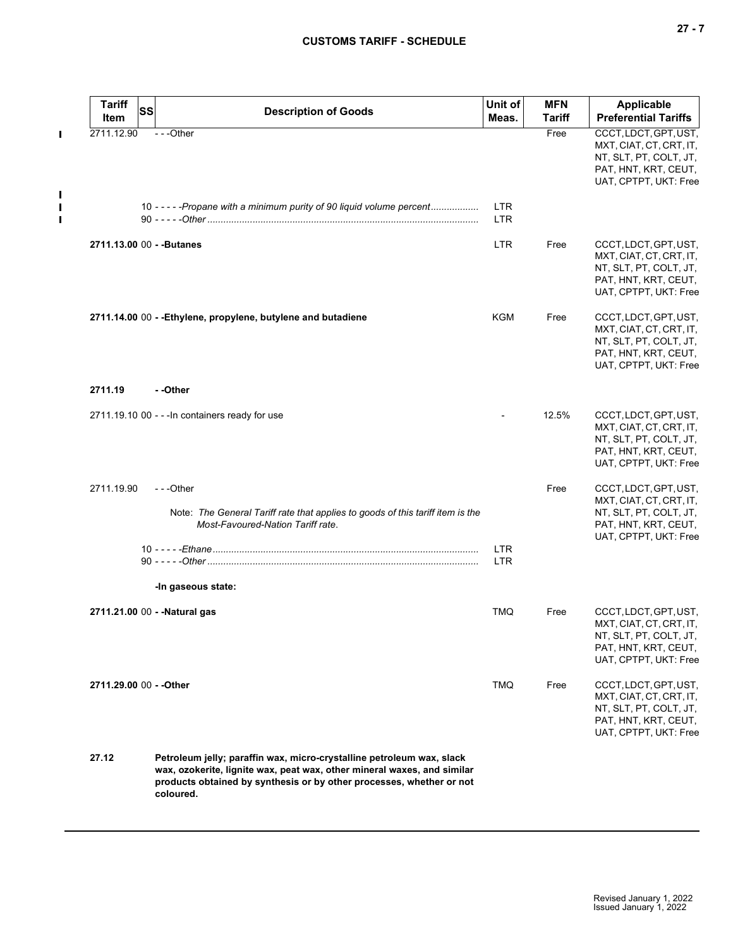**27 - 7**

# **CUSTOMS TARIFF - SCHEDULE**

| <b>Tariff</b><br>Item         | SS | <b>Description of Goods</b>                                                                                                                                                                                                           | Unit of<br>Meas.         | <b>MFN</b><br><b>Tariff</b> | Applicable<br><b>Preferential Tariffs</b>                                                                                   |
|-------------------------------|----|---------------------------------------------------------------------------------------------------------------------------------------------------------------------------------------------------------------------------------------|--------------------------|-----------------------------|-----------------------------------------------------------------------------------------------------------------------------|
| 2711.12.90                    |    | $- -$ Other                                                                                                                                                                                                                           |                          | Free                        | CCCT, LDCT, GPT, UST,<br>MXT, CIAT, CT, CRT, IT,<br>NT, SLT, PT, COLT, JT,<br>PAT, HNT, KRT, CEUT,<br>UAT, CPTPT, UKT: Free |
|                               |    | 10 - - - - - Propane with a minimum purity of 90 liquid volume percent                                                                                                                                                                | <b>LTR</b><br><b>LTR</b> |                             |                                                                                                                             |
| 2711.13.00 00 - - Butanes     |    |                                                                                                                                                                                                                                       | <b>LTR</b>               | Free                        | CCCT, LDCT, GPT, UST,<br>MXT, CIAT, CT, CRT, IT,<br>NT, SLT, PT, COLT, JT,<br>PAT, HNT, KRT, CEUT,<br>UAT, CPTPT, UKT: Free |
|                               |    | 2711.14.00 00 - - Ethylene, propylene, butylene and butadiene                                                                                                                                                                         | KGM                      | Free                        | CCCT, LDCT, GPT, UST,<br>MXT, CIAT, CT, CRT, IT,<br>NT, SLT, PT, COLT, JT,<br>PAT, HNT, KRT, CEUT,<br>UAT, CPTPT, UKT: Free |
| 2711.19                       |    | - -Other                                                                                                                                                                                                                              |                          |                             |                                                                                                                             |
|                               |    | 2711.19.10 00 - - - In containers ready for use                                                                                                                                                                                       |                          | 12.5%                       | CCCT, LDCT, GPT, UST,<br>MXT, CIAT, CT, CRT, IT,<br>NT, SLT, PT, COLT, JT,<br>PAT, HNT, KRT, CEUT,<br>UAT, CPTPT, UKT: Free |
| 2711.19.90                    |    | $-$ - -Other                                                                                                                                                                                                                          |                          | Free                        | CCCT, LDCT, GPT, UST,<br>MXT, CIAT, CT, CRT, IT,                                                                            |
|                               |    | Note: The General Tariff rate that applies to goods of this tariff item is the<br>Most-Favoured-Nation Tariff rate.                                                                                                                   |                          |                             | NT, SLT, PT, COLT, JT,<br>PAT, HNT, KRT, CEUT,<br>UAT, CPTPT, UKT: Free                                                     |
|                               |    |                                                                                                                                                                                                                                       | <b>LTR</b><br><b>LTR</b> |                             |                                                                                                                             |
|                               |    | -In gaseous state:                                                                                                                                                                                                                    |                          |                             |                                                                                                                             |
| 2711.21.00 00 - - Natural gas |    |                                                                                                                                                                                                                                       | <b>TMQ</b>               | Free                        | CCCT, LDCT, GPT, UST,<br>MXT, CIAT, CT, CRT, IT,<br>NT, SLT, PT, COLT, JT,<br>PAT, HNT, KRT, CEUT,<br>UAT, CPTPT, UKT: Free |
| 2711.29.00 00 - - Other       |    |                                                                                                                                                                                                                                       | TMQ                      | Free                        | CCCT, LDCT, GPT, UST,<br>MXT, CIAT, CT, CRT, IT,<br>NT, SLT, PT, COLT, JT,<br>PAT, HNT, KRT, CEUT,<br>UAT, CPTPT, UKT: Free |
| 27.12                         |    | Petroleum jelly; paraffin wax, micro-crystalline petroleum wax, slack<br>wax, ozokerite, lignite wax, peat wax, other mineral waxes, and similar<br>products obtained by synthesis or by other processes, whether or not<br>coloured. |                          |                             |                                                                                                                             |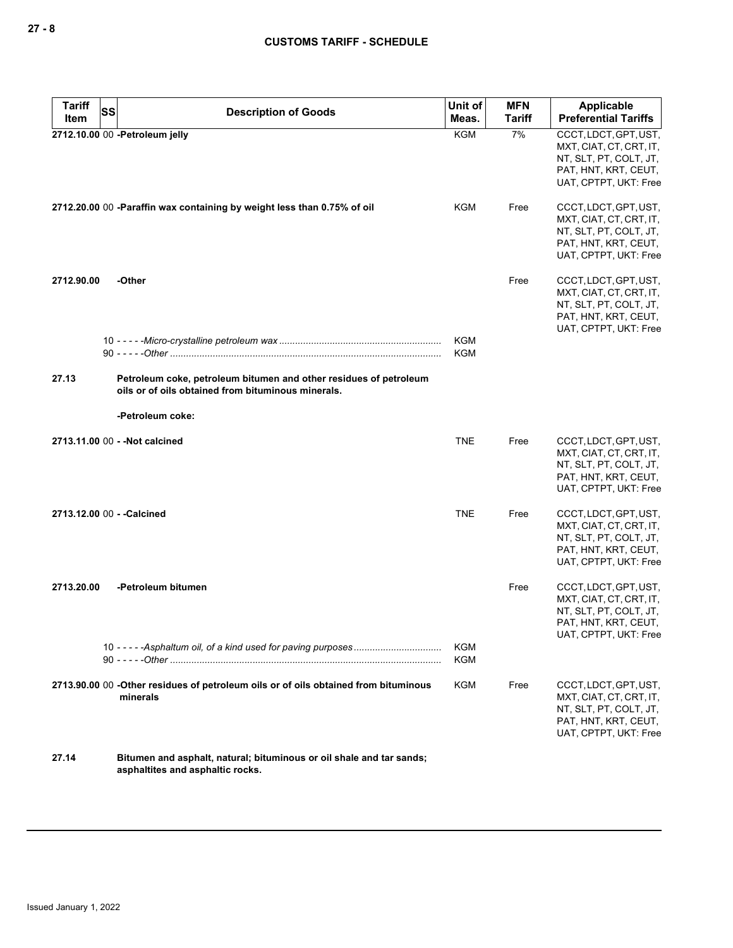| <b>Tariff</b> | <b>SS</b>                                                                                                               | Unit of                  | <b>MFN</b>    | Applicable                                                                                                                  |
|---------------|-------------------------------------------------------------------------------------------------------------------------|--------------------------|---------------|-----------------------------------------------------------------------------------------------------------------------------|
| Item          | <b>Description of Goods</b>                                                                                             | Meas.                    | <b>Tariff</b> | <b>Preferential Tariffs</b>                                                                                                 |
|               | 2712.10.00 00 -Petroleum jelly                                                                                          | <b>KGM</b>               | 7%            | CCCT, LDCT, GPT, UST,<br>MXT, CIAT, CT, CRT, IT,<br>NT, SLT, PT, COLT, JT,<br>PAT, HNT, KRT, CEUT,<br>UAT, CPTPT, UKT: Free |
|               | 2712.20.00 00 -Paraffin wax containing by weight less than 0.75% of oil                                                 | KGM                      | Free          | CCCT, LDCT, GPT, UST,<br>MXT, CIAT, CT, CRT, IT,<br>NT, SLT, PT, COLT, JT,<br>PAT, HNT, KRT, CEUT,<br>UAT, CPTPT, UKT: Free |
| 2712.90.00    | -Other                                                                                                                  |                          | Free          | CCCT, LDCT, GPT, UST,<br>MXT, CIAT, CT, CRT, IT,<br>NT, SLT, PT, COLT, JT,<br>PAT, HNT, KRT, CEUT,<br>UAT, CPTPT, UKT: Free |
|               |                                                                                                                         | KGM<br><b>KGM</b>        |               |                                                                                                                             |
| 27.13         | Petroleum coke, petroleum bitumen and other residues of petroleum<br>oils or of oils obtained from bituminous minerals. |                          |               |                                                                                                                             |
|               | -Petroleum coke:                                                                                                        |                          |               |                                                                                                                             |
|               | 2713.11.00 00 - - Not calcined                                                                                          | <b>TNE</b>               | Free          | CCCT, LDCT, GPT, UST,<br>MXT, CIAT, CT, CRT, IT,<br>NT, SLT, PT, COLT, JT,<br>PAT, HNT, KRT, CEUT,<br>UAT, CPTPT, UKT: Free |
|               | 2713.12.00 00 - - Calcined                                                                                              | <b>TNE</b>               | Free          | CCCT, LDCT, GPT, UST,<br>MXT, CIAT, CT, CRT, IT,<br>NT, SLT, PT, COLT, JT,<br>PAT, HNT, KRT, CEUT,<br>UAT, CPTPT, UKT: Free |
| 2713.20.00    | -Petroleum bitumen                                                                                                      |                          | Free          | CCCT, LDCT, GPT, UST,<br>MXT, CIAT, CT, CRT, IT,<br>NT, SLT, PT, COLT, JT,<br>PAT, HNT, KRT, CEUT,<br>UAT, CPTPT, UKT: Free |
|               |                                                                                                                         | <b>KGM</b><br><b>KGM</b> |               |                                                                                                                             |
|               | 2713.90.00 00 -Other residues of petroleum oils or of oils obtained from bituminous<br>minerals                         | <b>KGM</b>               | Free          | CCCT, LDCT, GPT, UST,<br>MXT, CIAT, CT, CRT, IT,<br>NT, SLT, PT, COLT, JT,<br>PAT, HNT, KRT, CEUT,<br>UAT, CPTPT, UKT: Free |
| 27.14         | Bitumen and asphalt, natural; bituminous or oil shale and tar sands;                                                    |                          |               |                                                                                                                             |

**asphaltites and asphaltic rocks.**